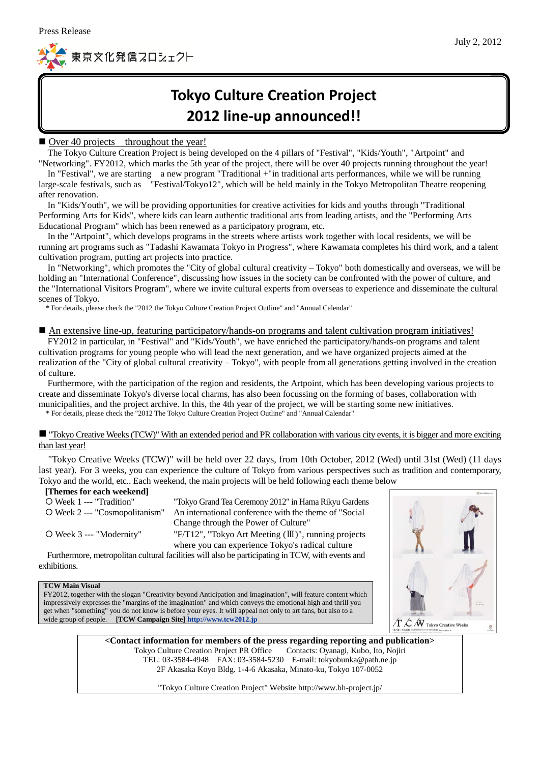

# **Tokyo Culture Creation Project 2012 line-up announced!!**

#### ■ Over 40 projects throughout the year!

The Tokyo Culture Creation Project is being developed on the 4 pillars of "Festival", "Kids/Youth", "Artpoint" and "Networking". FY2012, which marks the 5th year of the project, there will be over 40 projects running throughout the year!

In "Festival", we are starting a new program "Traditional +"in traditional arts performances, while we will be running large-scale festivals, such as "Festival/Tokyo12", which will be held mainly in the Tokyo Metropolitan Theatre reopening after renovation.

In "Kids/Youth", we will be providing opportunities for creative activities for kids and youths through "Traditional Performing Arts for Kids", where kids can learn authentic traditional arts from leading artists, and the "Performing Arts Educational Program" which has been renewed as a participatory program, etc.

In the "Artpoint", which develops programs in the streets where artists work together with local residents, we will be running art programs such as "Tadashi Kawamata Tokyo in Progress", where Kawamata completes his third work, and a talent cultivation program, putting art projects into practice.

In "Networking", which promotes the "City of global cultural creativity – Tokyo" both domestically and overseas, we will be holding an "International Conference", discussing how issues in the society can be confronted with the power of culture, and the "International Visitors Program", where we invite cultural experts from overseas to experience and disseminate the cultural scenes of Tokyo.

\* For details, please check the "2012 the Tokyo Culture Creation Project Outline" and "Annual Calendar"

■ An extensive line-up, featuring participatory/hands-on programs and talent cultivation program initiatives!

FY2012 in particular, in "Festival" and "Kids/Youth", we have enriched the participatory/hands-on programs and talent cultivation programs for young people who will lead the next generation, and we have organized projects aimed at the realization of the "City of global cultural creativity – Tokyo", with people from all generations getting involved in the creation of culture.

Furthermore, with the participation of the region and residents, the Artpoint, which has been developing various projects to create and disseminate Tokyo's diverse local charms, has also been focussing on the forming of bases, collaboration with municipalities, and the project archive. In this, the 4th year of the project, we will be starting some new initiatives. \* For details, please check the "2012 The Tokyo Culture Creation Project Outline" and "Annual Calendar"

Tokyo Creative Weeks (TCW)" With an extended period and PR collaboration with various city events, it is bigger and more exciting than last year!

"Tokyo Creative Weeks (TCW)" will be held over 22 days, from 10th October, 2012 (Wed) until 31st (Wed) (11 days last year). For 3 weeks, you can experience the culture of Tokyo from various perspectives such as tradition and contemporary, Tokyo and the world, etc.. Each weekend, the main projects will be held following each theme below

# **[Themes for each weekend]**

 Week 1 --- "Tradition" "Tokyo Grand Tea Ceremony 2012" in Hama Rikyu Gardens Week 2 --- "Cosmopolitanism" An international conference with the theme of "Social Change through the Power of Culture"

 Week 3 --- "Modernity" "F/T12", "Tokyo Art Meeting (Ⅲ)", running projects where you can experience Tokyo's radical culture

Furthermore, metropolitan cultural facilities will also be participating in TCW, with events and exhibitions.

#### **TCW Main Visual**

FY2012, together with the slogan "Creativity beyond Anticipation and Imagination", will feature content which impressively expresses the "margins of the imagination" and which conveys the emotional high and thrill you get when "something" you do not know is before your eyes. It will appeal not only to art fans, but also to a wide group of people. **[TCW Campaign Site[\] http://www.tcw2012.jp](http://www.tcw2012.jp/)**



**<Contact information for members of the press regarding reporting and publication>** Tokyo Culture Creation Project PR Office Contacts: Oyanagi, Kubo, Ito, Nojiri TEL: 03-3584-4948 FAX: 03-3584-5230 E-mail: tokyobunka@path.ne.jp 2F Akasaka Koyo Bldg. 1-4-6 Akasaka, Minato-ku, Tokyo 107-0052

"Tokyo Culture Creation Project" Website http://www.bh-project.jp/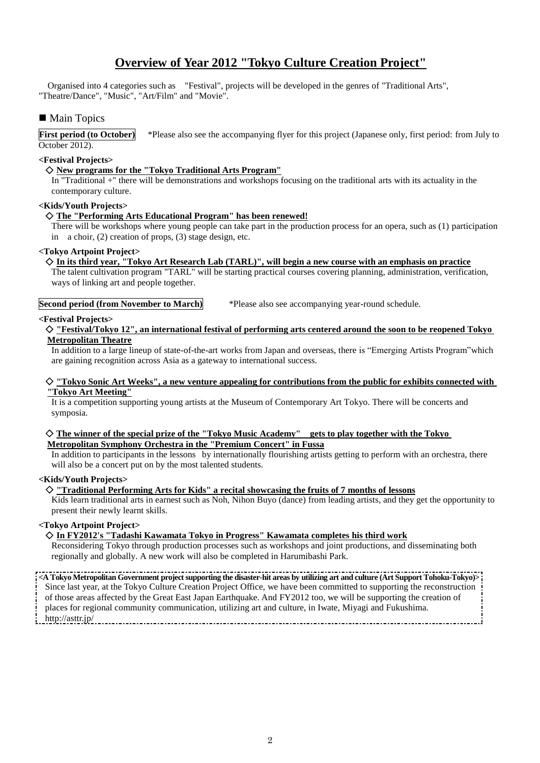# **Overview of Year 2012 "Tokyo Culture Creation Project"**

Organised into 4 categories such as "Festival", projects will be developed in the genres of "Traditional Arts", "Theatre/Dance", "Music", "Art/Film" and "Movie".

#### **Main Topics**

**First period (to October)** \*Please also see the accompanying flyer for this project (Japanese only, first period: from July to October 2012).

#### **<Festival Projects>**

#### **New programs for the "Tokyo Traditional Arts Program"**

In "Traditional +" there will be demonstrations and workshops focusing on the traditional arts with its actuality in the contemporary culture.

#### **<Kids/Youth Projects>**

#### **The "Performing Arts Educational Program" has been renewed!**

There will be workshops where young people can take part in the production process for an opera, such as (1) participation in a choir, (2) creation of props, (3) stage design, etc.

#### **<Tokyo Artpoint Project>**

#### **In its third year, "Tokyo Art Research Lab (TARL)", will begin a new course with an emphasis on practice**

The talent cultivation program "TARL" will be starting practical courses covering planning, administration, verification, ways of linking art and people together.

**Second period (from November to March)** \*Please also see accompanying year-round schedule.

#### **<Festival Projects>**

#### **"Festival/Tokyo 12", an international festival of performing arts centered around the soon to be reopened Tokyo Metropolitan Theatre**

In addition to a large lineup of state-of-the-art works from Japan and overseas, there is "Emerging Artists Program"which are gaining recognition across Asia as a gateway to international success.

#### **"Tokyo Sonic Art Weeks", a new venture appealing for contributions from the public for exhibits connected with "Tokyo Art Meeting"**

It is a competition supporting young artists at the Museum of Contemporary Art Tokyo. There will be concerts and symposia.

#### **The winner of the special prize of the "Tokyo Music Academy" gets to play together with the Tokyo Metropolitan Symphony Orchestra in the "Premium Concert" in Fussa**

In addition to participants in the lessons by internationally flourishing artists getting to perform with an orchestra, there will also be a concert put on by the most talented students.

#### **<Kids/Youth Projects>**

#### **"Traditional Performing Arts for Kids" a recital showcasing the fruits of 7 months of lessons**

Kids learn traditional arts in earnest such as Noh, Nihon Buyo (dance) from leading artists, and they get the opportunity to present their newly learnt skills.

#### **<Tokyo Artpoint Project>**

**In FY2012's "Tadashi Kawamata Tokyo in Progress" Kawamata completes his third work**

Reconsidering Tokyo through production processes such as workshops and joint productions, and disseminating both regionally and globally. A new work will also be completed in Harumibashi Park.

## **<A Tokyo Metropolitan Government project supporting the disaster-hit areas by utilizing art and culture (Art Support Tohoku-Tokyo)>** Since last year, at the Tokyo Culture Creation Project Office, we have been committed to supporting the reconstruction of those areas affected by the Great East Japan Earthquake. And FY2012 too, we will be supporting the creation of places for regional community communication, utilizing art and culture, in Iwate, Miyagi and Fukushima.

<http://asttr.jp/>